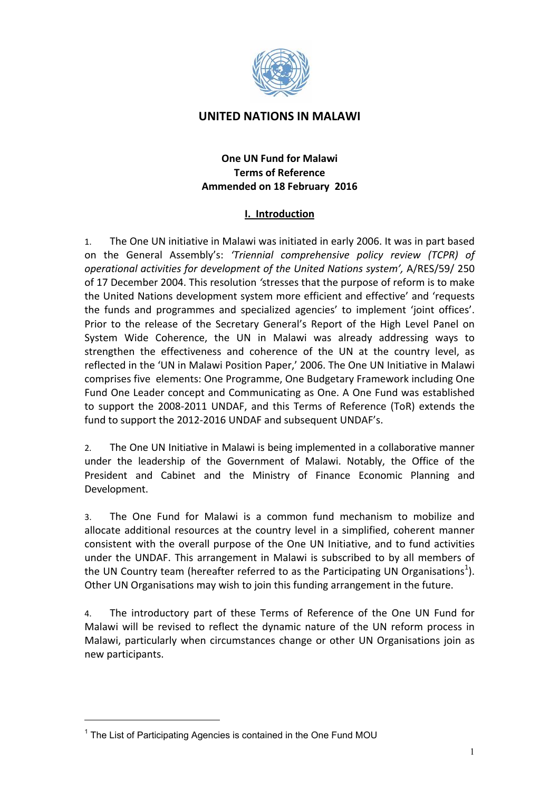

# **UNITED NATIONS IN MALAWI**

# **One UN Fund for Malawi Terms of Reference** Ammended on 18 February 2016

# **I.** Introduction

1. The One UN initiative in Malawi was initiated in early 2006. It was in part based on! the! General! Assembly's:! *'Triennial) comprehensive) policy) review) (TCPR)) of) operational activities for development of the United Nations system', A/RES/59/ 250* of 17 December 2004. This resolution 'stresses that the purpose of reform is to make the United Nations development system more efficient and effective' and 'requests the funds and programmes and specialized agencies' to implement 'joint offices'. Prior to the release of the Secretary General's Report of the High Level Panel on System Wide Coherence, the UN in Malawi was already addressing ways to strengthen the effectiveness and coherence of the UN at the country level, as reflected in the 'UN in Malawi Position Paper,' 2006. The One UN Initiative in Malawi comprises five elements: One Programme, One Budgetary Framework including One Fund One Leader concept and Communicating as One. A One Fund was established to support the 2008-2011 UNDAF, and this Terms of Reference (ToR) extends the fund to support the 2012-2016 UNDAF and subsequent UNDAF's.

2. The One UN Initiative in Malawi is being implemented in a collaborative manner under the leadership of the Government of Malawi. Notably, the Office of the President and Cabinet and the Ministry of Finance Economic Planning and Development.

3. The One Fund for Malawi is a common fund mechanism to mobilize and allocate additional resources at the country level in a simplified, coherent manner consistent with the overall purpose of the One UN Initiative, and to fund activities under the UNDAF. This arrangement in Malawi is subscribed to by all members of the UN Country team (hereafter referred to as the Participating UN Organisations<sup>1</sup>). Other UN Organisations may wish to join this funding arrangement in the future.

4. The introductory part of these Terms of Reference of the One UN Fund for Malawi will be revised to reflect the dynamic nature of the UN reform process in Malawi, particularly when circumstances change or other UN Organisations join as new participants.

 $\overline{a}$ 

<sup>&</sup>lt;sup>1</sup> The List of Participating Agencies is contained in the One Fund MOU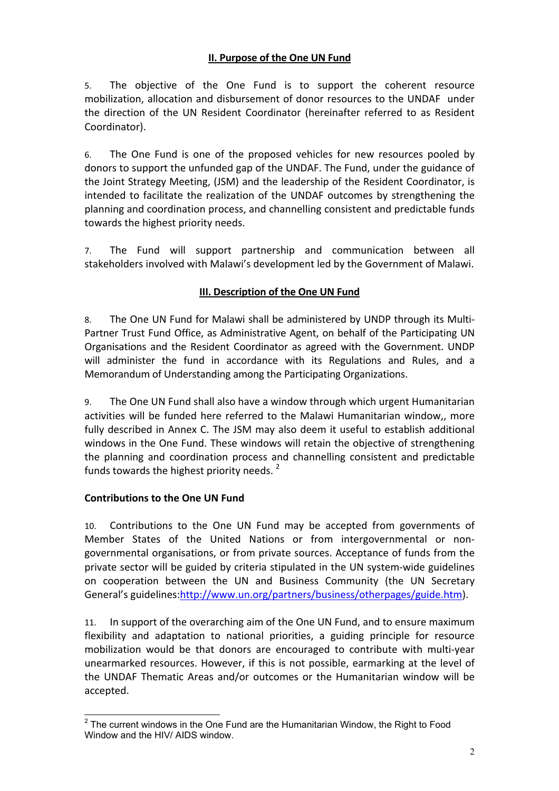# **II. Purpose of the One UN Fund**

5. The objective of the One Fund is to support the coherent resource mobilization, allocation and disbursement of donor resources to the UNDAF under the direction of the UN Resident Coordinator (hereinafter referred to as Resident Coordinator).

6. The One Fund is one of the proposed vehicles for new resources pooled by donors to support the unfunded gap of the UNDAF. The Fund, under the guidance of the Joint Strategy Meeting, (JSM) and the leadership of the Resident Coordinator, is intended to facilitate the realization of the UNDAF outcomes by strengthening the planning and coordination process, and channelling consistent and predictable funds towards the highest priority needs.

7. The Fund will support partnership and communication between all stakeholders involved with Malawi's development led by the Government of Malawi.

# **III. Description of the One UN Fund**

8. The One UN Fund for Malawi shall be administered by UNDP through its Multi-Partner Trust Fund Office, as Administrative Agent, on behalf of the Participating UN Organisations and the Resident Coordinator as agreed with the Government. UNDP will administer the fund in accordance with its Regulations and Rules, and a Memorandum of Understanding among the Participating Organizations.

9. The One UN Fund shall also have a window through which urgent Humanitarian activities will be funded here referred to the Malawi Humanitarian window,, more fully described in Annex C. The JSM may also deem it useful to establish additional windows in the One Fund. These windows will retain the objective of strengthening the planning and coordination process and channelling consistent and predictable funds towards the highest priority needs. $2$ 

# **Contributions to the One UN Fund**

10. Contributions to the One UN Fund may be accepted from governments of Member States of the United Nations or from intergovernmental or nongovernmental organisations, or from private sources. Acceptance of funds from the private sector will be guided by criteria stipulated in the UN system-wide guidelines on cooperation between the UN and Business Community (the UN Secretary General's guidelines:http://www.un.org/partners/business/otherpages/guide.htm).

11. In support of the overarching aim of the One UN Fund, and to ensure maximum flexibility and adaptation to national priorities, a guiding principle for resource mobilization would be that donors are encouraged to contribute with multi-year unearmarked resources. However, if this is not possible, earmarking at the level of the UNDAF Thematic Areas and/or outcomes or the Humanitarian window will be accepted.

 $2$  The current windows in the One Fund are the Humanitarian Window, the Right to Food Window and the HIV/ AIDS window.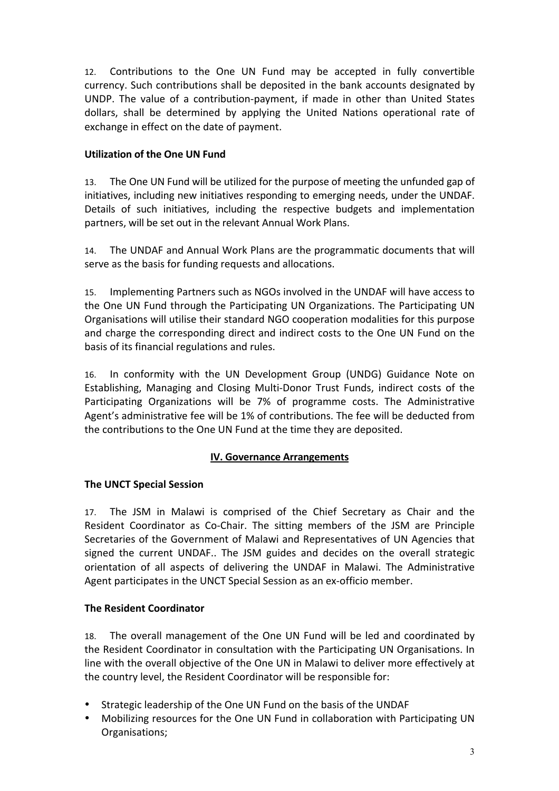12. Contributions to the One UN Fund may be accepted in fully convertible currency. Such contributions shall be deposited in the bank accounts designated by UNDP. The value of a contribution-payment, if made in other than United States dollars, shall be determined by applying the United Nations operational rate of exchange in effect on the date of payment.

# **Utilization of the One UN Fund**

13. The One UN Fund will be utilized for the purpose of meeting the unfunded gap of initiatives, including new initiatives responding to emerging needs, under the UNDAF. Details of such initiatives, including the respective budgets and implementation partners, will be set out in the relevant Annual Work Plans.

14. The UNDAF and Annual Work Plans are the programmatic documents that will serve as the basis for funding requests and allocations.

15. Implementing Partners such as NGOs involved in the UNDAF will have access to the One UN Fund through the Participating UN Organizations. The Participating UN Organisations will utilise their standard NGO cooperation modalities for this purpose and charge the corresponding direct and indirect costs to the One UN Fund on the basis of its financial regulations and rules.

16. In conformity with the UN Development Group (UNDG) Guidance Note on Establishing, Managing and Closing Multi-Donor Trust Funds, indirect costs of the Participating Organizations will be 7% of programme costs. The Administrative Agent's administrative fee will be 1% of contributions. The fee will be deducted from the contributions to the One UN Fund at the time they are deposited.

# **IV. Governance Arrangements**

# **The UNCT Special Session**

17. The JSM in Malawi is comprised of the Chief Secretary as Chair and the Resident Coordinator as Co-Chair. The sitting members of the JSM are Principle Secretaries of the Government of Malawi and Representatives of UN Agencies that signed the current UNDAF.. The JSM guides and decides on the overall strategic orientation of all aspects of delivering the UNDAF in Malawi. The Administrative Agent participates in the UNCT Special Session as an ex-officio member.

# **The Resident Coordinator**

18. The overall management of the One UN Fund will be led and coordinated by the Resident Coordinator in consultation with the Participating UN Organisations. In line with the overall objective of the One UN in Malawi to deliver more effectively at the country level, the Resident Coordinator will be responsible for:

- Strategic leadership of the One UN Fund on the basis of the UNDAF
- Mobilizing resources for the One UN Fund in collaboration with Participating UN Organisations;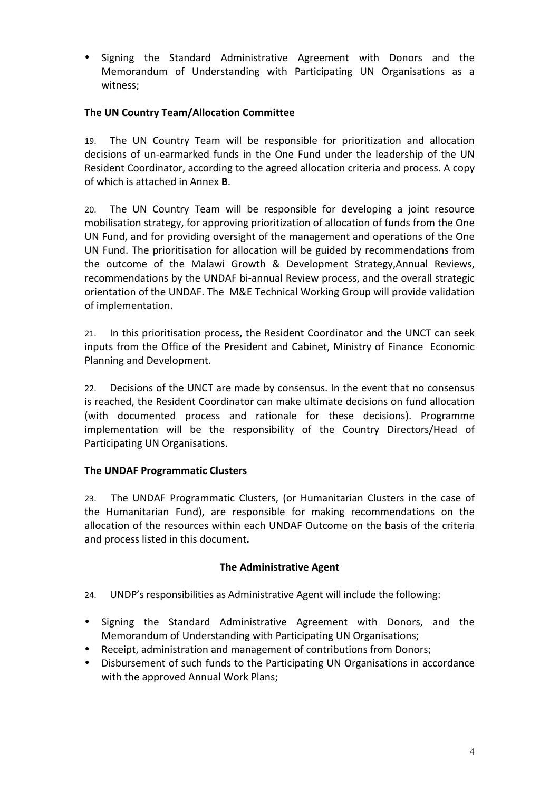• Signing the Standard Administrative Agreement with Donors and the Memorandum of Understanding with Participating UN Organisations as a witness:

# **The UN Country Team/Allocation Committee**

19. The UN Country Team will be responsible for prioritization and allocation decisions of un-earmarked funds in the One Fund under the leadership of the UN Resident Coordinator, according to the agreed allocation criteria and process. A copy of!which!is!attached!in!Annex **B**.

20. The UN Country Team will be responsible for developing a joint resource mobilisation strategy, for approving prioritization of allocation of funds from the One UN Fund, and for providing oversight of the management and operations of the One UN Fund. The prioritisation for allocation will be guided by recommendations from the outcome of the Malawi Growth & Development Strategy,Annual Reviews, recommendations by the UNDAF bi-annual Review process, and the overall strategic orientation of the UNDAF. The M&E Technical Working Group will provide validation of implementation.

21. In this prioritisation process, the Resident Coordinator and the UNCT can seek inputs from the Office of the President and Cabinet, Ministry of Finance Economic Planning and Development.

22. Decisions of the UNCT are made by consensus. In the event that no consensus is reached, the Resident Coordinator can make ultimate decisions on fund allocation (with documented process and rationale for these decisions). Programme implementation will be the responsibility of the Country Directors/Head of Participating UN Organisations.

# **The UNDAF Programmatic Clusters**

23. The UNDAF Programmatic Clusters, (or Humanitarian Clusters in the case of the Humanitarian Fund), are responsible for making recommendations on the allocation of the resources within each UNDAF Outcome on the basis of the criteria and process listed in this document.

# **The Administrative Agent**

- 24. UNDP's responsibilities as Administrative Agent will include the following:
- Signing the Standard Administrative Agreement with Donors, and the Memorandum of Understanding with Participating UN Organisations;
- Receipt, administration and management of contributions from Donors;
- Disbursement of such funds to the Participating UN Organisations in accordance with the approved Annual Work Plans: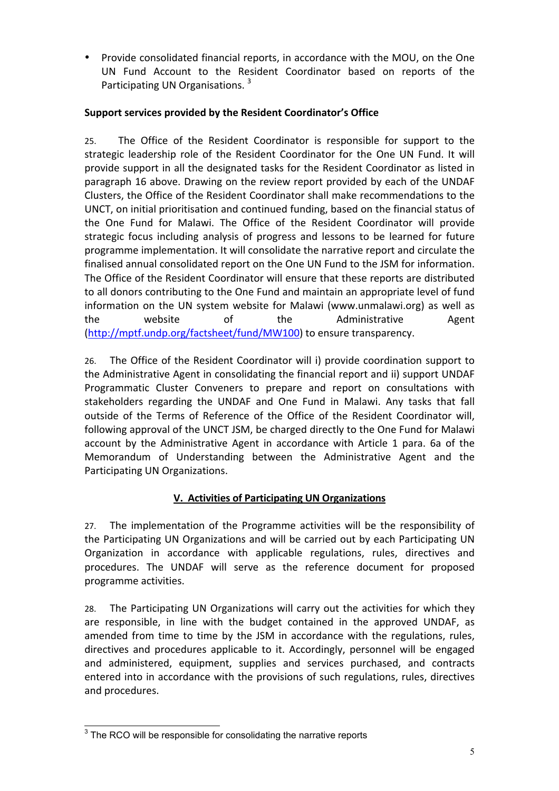• Provide consolidated financial reports, in accordance with the MOU, on the One UN Fund Account to the Resident Coordinator based on reports of the Participating UN Organisations.<sup>3</sup>

# **Support services provided by the Resident Coordinator's Office**

25. The Office of the Resident Coordinator is responsible for support to the strategic leadership role of the Resident Coordinator for the One UN Fund. It will provide support in all the designated tasks for the Resident Coordinator as listed in paragraph 16 above. Drawing on the review report provided by each of the UNDAF Clusters, the Office of the Resident Coordinator shall make recommendations to the UNCT, on initial prioritisation and continued funding, based on the financial status of the One Fund for Malawi. The Office of the Resident Coordinator will provide strategic focus including analysis of progress and lessons to be learned for future programme implementation. It will consolidate the narrative report and circulate the finalised annual consolidated report on the One UN Fund to the JSM for information. The Office of the Resident Coordinator will ensure that these reports are distributed to all donors contributing to the One Fund and maintain an appropriate level of fund information on the UN system website for Malawi (www.unmalawi.org) as well as the website of the Administrative Agent (http://mptf.undp.org/factsheet/fund/MW100) to ensure transparency.

26. The Office of the Resident Coordinator will i) provide coordination support to the Administrative Agent in consolidating the financial report and ii) support UNDAF Programmatic Cluster Conveners to prepare and report on consultations with stakeholders regarding the UNDAF and One Fund in Malawi. Any tasks that fall outside of the Terms of Reference of the Office of the Resident Coordinator will, following approval of the UNCT JSM, be charged directly to the One Fund for Malawi account by the Administrative Agent in accordance with Article 1 para. 6a of the Memorandum of Understanding between the Administrative Agent and the Participating UN Organizations.

# **V. Activities of Participating UN Organizations**

27. The implementation of the Programme activities will be the responsibility of the Participating UN Organizations and will be carried out by each Participating UN Organization in accordance with applicable regulations, rules, directives and procedures. The UNDAF will serve as the reference document for proposed programme activities.

28. The Participating UN Organizations will carry out the activities for which they are responsible, in line with the budget contained in the approved UNDAF, as amended from time to time by the JSM in accordance with the regulations, rules, directives and procedures applicable to it. Accordingly, personnel will be engaged and administered, equipment, supplies and services purchased, and contracts entered into in accordance with the provisions of such regulations, rules, directives and procedures.

 $3$  The RCO will be responsible for consolidating the narrative reports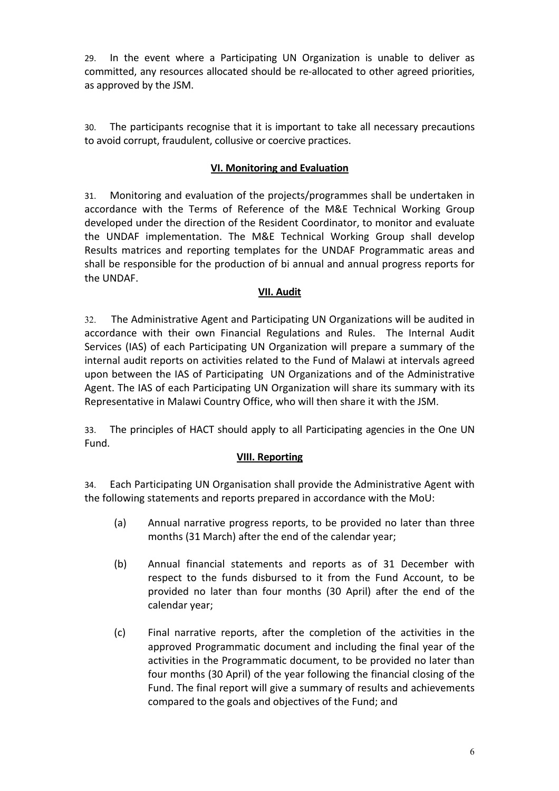29. In the event where a Participating UN Organization is unable to deliver as committed, any resources allocated should be re-allocated to other agreed priorities, as approved by the JSM.

30. The participants recognise that it is important to take all necessary precautions to avoid corrupt, fraudulent, collusive or coercive practices.

## **VI. Monitoring and Evaluation**

31. Monitoring and evaluation of the projects/programmes shall be undertaken in accordance with the Terms of Reference of the M&E Technical Working Group developed under the direction of the Resident Coordinator, to monitor and evaluate the UNDAF implementation. The M&E Technical Working Group shall develop Results matrices and reporting templates for the UNDAF Programmatic areas and shall be responsible for the production of bi annual and annual progress reports for the UNDAF.

### **VII. Audit**

32. The Administrative Agent and Participating UN Organizations will be audited in accordance with their own Financial Regulations and Rules. The Internal Audit Services (IAS) of each Participating UN Organization will prepare a summary of the internal audit reports on activities related to the Fund of Malawi at intervals agreed upon between the IAS of Participating UN Organizations and of the Administrative Agent. The IAS of each Participating UN Organization will share its summary with its Representative in Malawi Country Office, who will then share it with the JSM.

33. The principles of HACT should apply to all Participating agencies in the One UN Fund.

### **VIII. Reporting**

34. Each Participating UN Organisation shall provide the Administrative Agent with the following statements and reports prepared in accordance with the MoU:

- (a) Annual narrative progress reports, to be provided no later than three months (31 March) after the end of the calendar year;
- (b) Annual financial statements and reports as of 31 December with respect to the funds disbursed to it from the Fund Account, to be provided no later than four months (30 April) after the end of the calendar year;
- (c) Final narrative reports, after the completion of the activities in the approved Programmatic document and including the final year of the activities in the Programmatic document, to be provided no later than four months (30 April) of the year following the financial closing of the Fund. The final report will give a summary of results and achievements compared to the goals and objectives of the Fund; and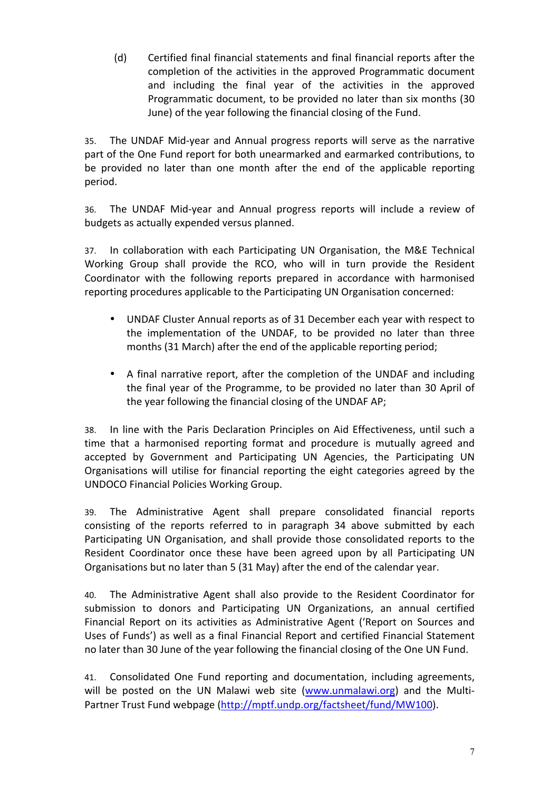(d) Certified final financial statements and final financial reports after the completion of the activities in the approved Programmatic document and including the final year of the activities in the approved Programmatic document, to be provided no later than six months (30 June) of the year following the financial closing of the Fund.

35. The UNDAF Mid-year and Annual progress reports will serve as the narrative part of the One Fund report for both unearmarked and earmarked contributions, to be provided no later than one month after the end of the applicable reporting period.

36. The UNDAF Mid-year and Annual progress reports will include a review of budgets as actually expended versus planned.

37. In collaboration with each Participating UN Organisation, the M&E Technical Working Group shall provide the RCO, who will in turn provide the Resident Coordinator with the following reports prepared in accordance with harmonised reporting procedures applicable to the Participating UN Organisation concerned:

- UNDAF Cluster Annual reports as of 31 December each year with respect to the implementation of the UNDAF, to be provided no later than three months (31 March) after the end of the applicable reporting period;
- A final narrative report, after the completion of the UNDAF and including the final year of the Programme, to be provided no later than 30 April of the year following the financial closing of the UNDAF AP;

38. In line with the Paris Declaration Principles on Aid Effectiveness, until such a time that a harmonised reporting format and procedure is mutually agreed and accepted by Government and Participating UN Agencies, the Participating UN Organisations will utilise for financial reporting the eight categories agreed by the UNDOCO Financial Policies Working Group.

39. The Administrative Agent shall prepare consolidated financial reports consisting of the reports referred to in paragraph 34 above submitted by each Participating UN Organisation, and shall provide those consolidated reports to the Resident Coordinator once these have been agreed upon by all Participating UN Organisations but no later than 5 (31 May) after the end of the calendar year.

40. The Administrative Agent shall also provide to the Resident Coordinator for submission to donors and Participating UN Organizations, an annual certified Financial Report on its activities as Administrative Agent ('Report on Sources and Uses of Funds') as well as a final Financial Report and certified Financial Statement no later than 30 June of the year following the financial closing of the One UN Fund.

41. Consolidated One Fund reporting and documentation, including agreements, will be posted on the UN Malawi web site (www.unmalawi.org) and the Multi-Partner Trust Fund webpage (http://mptf.undp.org/factsheet/fund/MW100).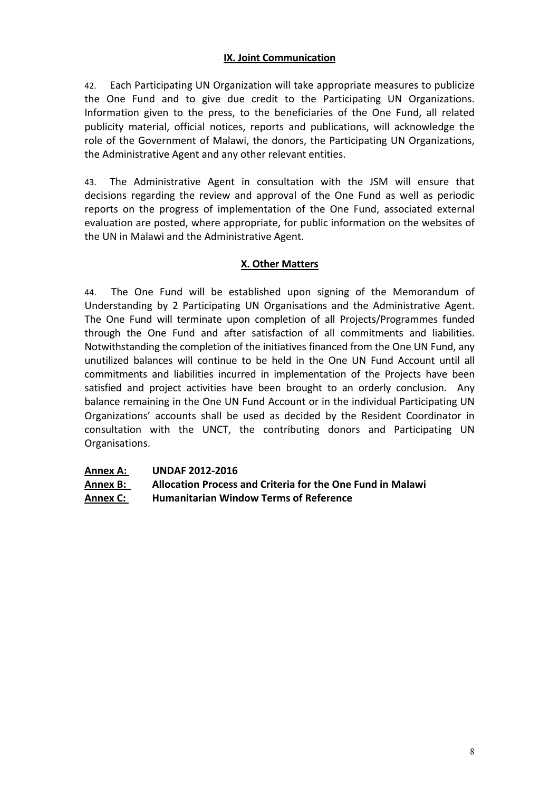# **IX. Joint Communication**

42. Each Participating UN Organization will take appropriate measures to publicize the One Fund and to give due credit to the Participating UN Organizations. Information given to the press, to the beneficiaries of the One Fund, all related publicity material, official notices, reports and publications, will acknowledge the role of the Government of Malawi, the donors, the Participating UN Organizations, the Administrative Agent and any other relevant entities.

43. The Administrative Agent in consultation with the JSM will ensure that decisions regarding the review and approval of the One Fund as well as periodic reports on the progress of implementation of the One Fund, associated external evaluation are posted, where appropriate, for public information on the websites of the UN in Malawi and the Administrative Agent.

## **X.!Other!Matters**

44. The One Fund will be established upon signing of the Memorandum of Understanding by 2 Participating UN Organisations and the Administrative Agent. The One Fund will terminate upon completion of all Projects/Programmes funded through the One Fund and after satisfaction of all commitments and liabilities. Notwithstanding the completion of the initiatives financed from the One UN Fund, any unutilized balances will continue to be held in the One UN Fund Account until all commitments and liabilities incurred in implementation of the Projects have been satisfied and project activities have been brought to an orderly conclusion. Any balance remaining in the One UN Fund Account or in the individual Participating UN Organizations' accounts shall be used as decided by the Resident Coordinator in consultation with the UNCT, the contributing donors and Participating UN Organisations.

| Annex B: | Allocation Process and Criteria for the One Fund in Malawi |
|----------|------------------------------------------------------------|
|----------|------------------------------------------------------------|

**Annex!C:! Humanitarian!Window!Terms!of!Reference**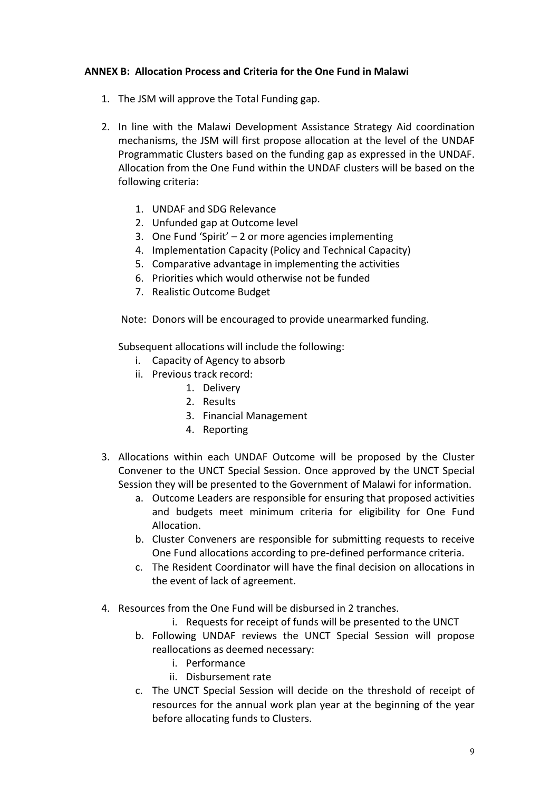## **ANNEX B: Allocation Process and Criteria for the One Fund in Malawi**

- 1. The JSM will approve the Total Funding gap.
- 2. In line with the Malawi Development Assistance Strategy Aid coordination mechanisms, the JSM will first propose allocation at the level of the UNDAF Programmatic Clusters based on the funding gap as expressed in the UNDAF. Allocation from the One Fund within the UNDAF clusters will be based on the following criteria:
	- 1. UNDAF and SDG Relevance
	- 2. Unfunded gap at Outcome level
	- 3. One Fund 'Spirit'  $-2$  or more agencies implementing
	- 4. Implementation Capacity (Policy and Technical Capacity)
	- 5. Comparative advantage in implementing the activities
	- 6. Priorities which would otherwise not be funded
	- 7. Realistic Outcome Budget

Note: Donors will be encouraged to provide unearmarked funding.

Subsequent allocations will include the following:

- i. Capacity of Agency to absorb
- ii. Previous track record:
	- 1. Delivery
		- 2. Results
		- 3. Financial Management
		- 4. Reporting
- 3. Allocations within each UNDAF Outcome will be proposed by the Cluster Convener to the UNCT Special Session. Once approved by the UNCT Special Session they will be presented to the Government of Malawi for information.
	- a. Outcome Leaders are responsible for ensuring that proposed activities and budgets meet minimum criteria for eligibility for One Fund Allocation.
	- b. Cluster Conveners are responsible for submitting requests to receive One Fund allocations according to pre-defined performance criteria.
	- c. The Resident Coordinator will have the final decision on allocations in the event of lack of agreement.
- 4. Resources from the One Fund will be disbursed in 2 tranches.
	- i. Requests for receipt of funds will be presented to the UNCT
	- b. Following UNDAF reviews the UNCT Special Session will propose reallocations as deemed necessary:
		- i. Performance
		- ii. Disbursement rate
	- c. The UNCT Special Session will decide on the threshold of receipt of resources for the annual work plan year at the beginning of the year before allocating funds to Clusters.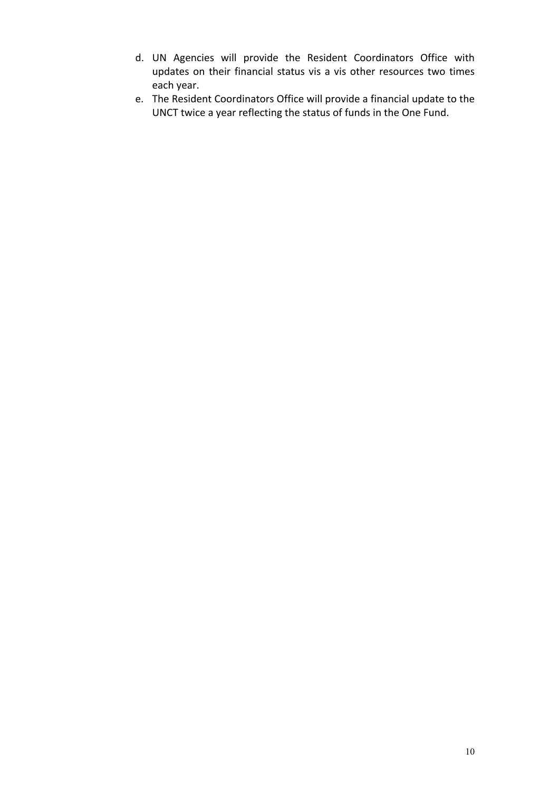- d. UN Agencies will provide the Resident Coordinators Office with updates on their financial status vis a vis other resources two times each year.
- e. The Resident Coordinators Office will provide a financial update to the UNCT twice a year reflecting the status of funds in the One Fund.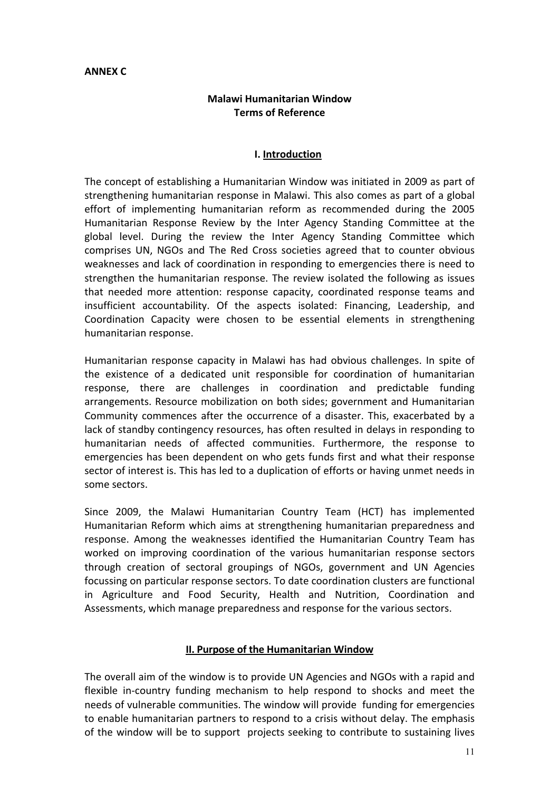## **ANNEX!C**

# **Malawi!Humanitarian!Window Terms!of!Reference!**

## **I. Introduction**

The concept of establishing a Humanitarian Window was initiated in 2009 as part of strengthening humanitarian response in Malawi. This also comes as part of a global effort of implementing humanitarian reform as recommended during the 2005 Humanitarian Response Review by the Inter Agency Standing Committee at the global level. During the review the Inter Agency Standing Committee which comprises UN, NGOs and The Red Cross societies agreed that to counter obvious weaknesses and lack of coordination in responding to emergencies there is need to strengthen the humanitarian response. The review isolated the following as issues that needed more attention: response capacity, coordinated response teams and insufficient accountability. Of the aspects isolated: Financing, Leadership, and Coordination Capacity were chosen to be essential elements in strengthening humanitarian response.

Humanitarian response capacity in Malawi has had obvious challenges. In spite of the existence of a dedicated unit responsible for coordination of humanitarian response, there are challenges in coordination and predictable funding arrangements. Resource mobilization on both sides; government and Humanitarian Community commences after the occurrence of a disaster. This, exacerbated by a lack of standby contingency resources, has often resulted in delays in responding to humanitarian needs of affected communities. Furthermore, the response to emergencies has been dependent on who gets funds first and what their response sector of interest is. This has led to a duplication of efforts or having unmet needs in some sectors.

Since 2009, the Malawi Humanitarian Country Team (HCT) has implemented Humanitarian Reform which aims at strengthening humanitarian preparedness and response. Among the weaknesses identified the Humanitarian Country Team has worked on improving coordination of the various humanitarian response sectors through creation of sectoral groupings of NGOs, government and UN Agencies focussing on particular response sectors. To date coordination clusters are functional in Agriculture and Food Security, Health and Nutrition, Coordination and Assessments, which manage preparedness and response for the various sectors.

### **II. Purpose of the Humanitarian Window**

The overall aim of the window is to provide UN Agencies and NGOs with a rapid and flexible in-country funding mechanism to help respond to shocks and meet the needs of vulnerable communities. The window will provide funding for emergencies to enable humanitarian partners to respond to a crisis without delay. The emphasis of the window will be to support projects seeking to contribute to sustaining lives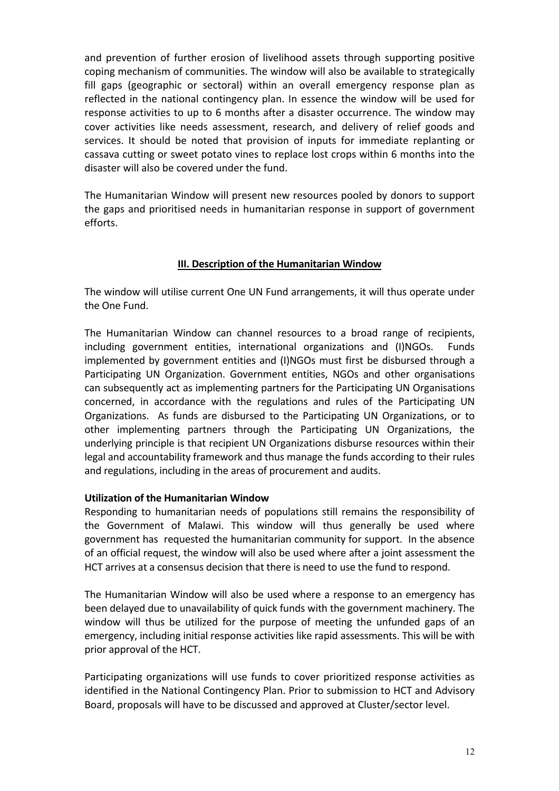and prevention of further erosion of livelihood assets through supporting positive coping mechanism of communities. The window will also be available to strategically fill gaps (geographic or sectoral) within an overall emergency response plan as reflected in the national contingency plan. In essence the window will be used for response activities to up to 6 months after a disaster occurrence. The window may cover activities like needs assessment, research, and delivery of relief goods and services. It should be noted that provision of inputs for immediate replanting or cassava cutting or sweet potato vines to replace lost crops within 6 months into the disaster will also be covered under the fund.

The Humanitarian Window will present new resources pooled by donors to support the gaps and prioritised needs in humanitarian response in support of government efforts.

# **III. Description of the Humanitarian Window**

The window will utilise current One UN Fund arrangements, it will thus operate under the One Fund.

The Humanitarian Window can channel resources to a broad range of recipients, including government entities, international organizations and (I)NGOs. Funds implemented by government entities and (I)NGOs must first be disbursed through a Participating UN Organization. Government entities, NGOs and other organisations can subsequently act as implementing partners for the Participating UN Organisations concerned, in accordance with the regulations and rules of the Participating UN Organizations. As funds are disbursed to the Participating UN Organizations, or to other implementing partners through the Participating UN Organizations, the underlying principle is that recipient UN Organizations disburse resources within their legal and accountability framework and thus manage the funds according to their rules and regulations, including in the areas of procurement and audits.

# **Utilization of the Humanitarian Window**

Responding to humanitarian needs of populations still remains the responsibility of the Government of Malawi. This window will thus generally be used where government has requested the humanitarian community for support. In the absence of an official request, the window will also be used where after a joint assessment the HCT arrives at a consensus decision that there is need to use the fund to respond.

The Humanitarian Window will also be used where a response to an emergency has been delayed due to unavailability of quick funds with the government machinery. The window will thus be utilized for the purpose of meeting the unfunded gaps of an emergency, including initial response activities like rapid assessments. This will be with prior approval of the HCT.

Participating organizations will use funds to cover prioritized response activities as identified in the National Contingency Plan. Prior to submission to HCT and Advisory Board, proposals will have to be discussed and approved at Cluster/sector level.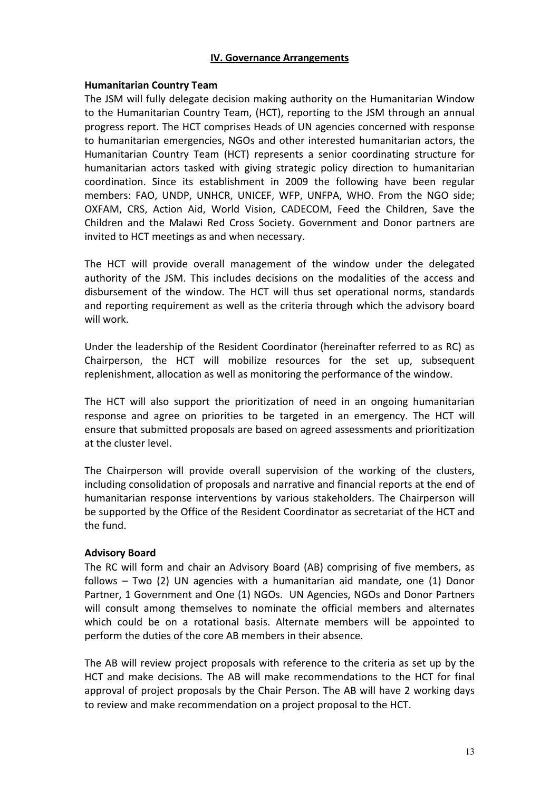### **IV.!Governance!Arrangements**

#### **Humanitarian Country Team**

The JSM will fully delegate decision making authority on the Humanitarian Window to the Humanitarian Country Team, (HCT), reporting to the JSM through an annual progress report. The HCT comprises Heads of UN agencies concerned with response to humanitarian emergencies, NGOs and other interested humanitarian actors, the Humanitarian Country Team (HCT) represents a senior coordinating structure for humanitarian actors tasked with giving strategic policy direction to humanitarian coordination. Since its establishment in 2009 the following have been regular members: FAO, UNDP, UNHCR, UNICEF, WFP, UNFPA, WHO. From the NGO side; OXFAM, CRS, Action Aid, World Vision, CADECOM, Feed the Children, Save the Children and the Malawi Red Cross Society. Government and Donor partners are invited to HCT meetings as and when necessary.

The HCT will provide overall management of the window under the delegated authority of the JSM. This includes decisions on the modalities of the access and disbursement of the window. The HCT will thus set operational norms, standards and reporting requirement as well as the criteria through which the advisory board will work.

Under the leadership of the Resident Coordinator (hereinafter referred to as RC) as Chairperson, the HCT will mobilize resources for the set up, subsequent replenishment, allocation as well as monitoring the performance of the window.

The HCT will also support the prioritization of need in an ongoing humanitarian response and agree on priorities to be targeted in an emergency. The HCT will ensure that submitted proposals are based on agreed assessments and prioritization at the cluster level.

The Chairperson will provide overall supervision of the working of the clusters, including consolidation of proposals and narrative and financial reports at the end of humanitarian response interventions by various stakeholders. The Chairperson will be supported by the Office of the Resident Coordinator as secretariat of the HCT and the fund.

### **Advisory!Board**

The RC will form and chair an Advisory Board (AB) comprising of five members, as follows  $-$  Two (2) UN agencies with a humanitarian aid mandate, one (1) Donor Partner, 1 Government and One (1) NGOs. UN Agencies, NGOs and Donor Partners will consult among themselves to nominate the official members and alternates which could be on a rotational basis. Alternate members will be appointed to perform the duties of the core AB members in their absence.

The AB will review project proposals with reference to the criteria as set up by the HCT and make decisions. The AB will make recommendations to the HCT for final approval of project proposals by the Chair Person. The AB will have 2 working days to review and make recommendation on a project proposal to the HCT.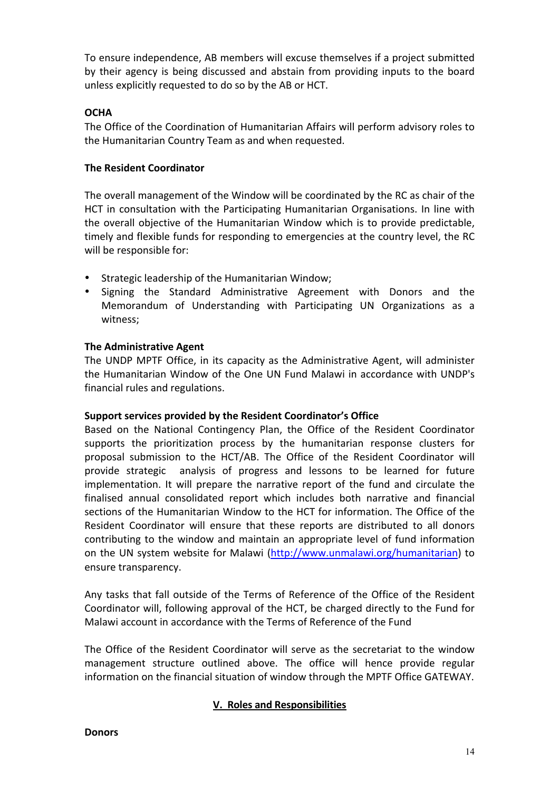To ensure independence. AB members will excuse themselves if a project submitted by their agency is being discussed and abstain from providing inputs to the board unless explicitly requested to do so by the AB or HCT.

# **OCHA**

The Office of the Coordination of Humanitarian Affairs will perform advisory roles to the Humanitarian Country Team as and when requested.

## **The Resident Coordinator**

The overall management of the Window will be coordinated by the RC as chair of the HCT in consultation with the Participating Humanitarian Organisations. In line with the overall objective of the Humanitarian Window which is to provide predictable, timely and flexible funds for responding to emergencies at the country level, the RC will be responsible for:

- Strategic leadership of the Humanitarian Window;
- Signing the Standard Administrative Agreement with Donors and the Memorandum of Understanding with Participating UN Organizations as a witness:

## **The!Administrative!Agent**

The UNDP MPTF Office, in its capacity as the Administrative Agent, will administer the Humanitarian Window of the One UN Fund Malawi in accordance with UNDP's financial rules and regulations.

### Support services provided by the Resident Coordinator's Office

Based on the National Contingency Plan, the Office of the Resident Coordinator supports the prioritization process by the humanitarian response clusters for proposal submission to the HCT/AB. The Office of the Resident Coordinator will provide strategic analysis of progress and lessons to be learned for future implementation. It will prepare the narrative report of the fund and circulate the finalised annual consolidated report which includes both narrative and financial sections of the Humanitarian Window to the HCT for information. The Office of the Resident Coordinator will ensure that these reports are distributed to all donors contributing to the window and maintain an appropriate level of fund information on the UN system website for Malawi (http://www.unmalawi.org/humanitarian) to ensure transparency.

Any tasks that fall outside of the Terms of Reference of the Office of the Resident Coordinator will, following approval of the HCT, be charged directly to the Fund for Malawi account in accordance with the Terms of Reference of the Fund

The Office of the Resident Coordinator will serve as the secretariat to the window management structure outlined above. The office will hence provide regular information on the financial situation of window through the MPTF Office GATEWAY.

# **V. Roles and Responsibilities**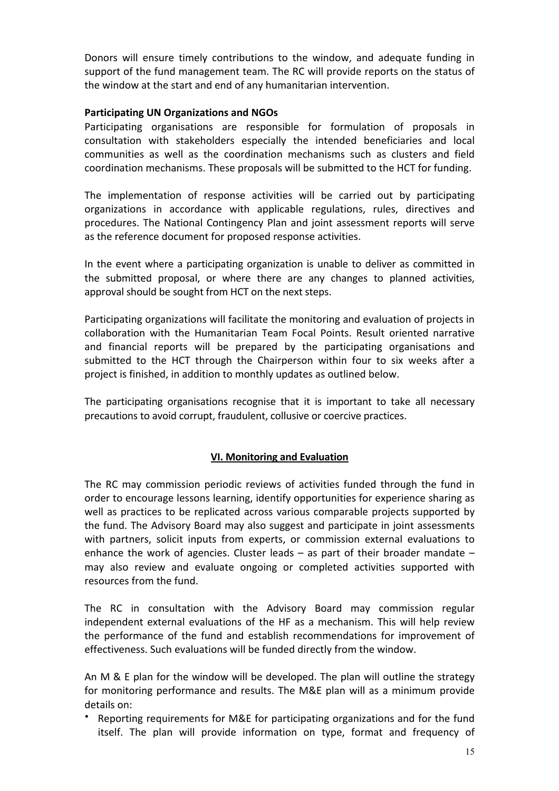Donors will ensure timely contributions to the window, and adequate funding in support of the fund management team. The RC will provide reports on the status of the window at the start and end of any humanitarian intervention.

## **Participating!UN!Organizations!and!NGOs**

Participating organisations are responsible for formulation of proposals in consultation with stakeholders especially the intended beneficiaries and local communities as well as the coordination mechanisms such as clusters and field coordination mechanisms. These proposals will be submitted to the HCT for funding.

The implementation of response activities will be carried out by participating organizations in accordance with applicable regulations, rules, directives and procedures. The National Contingency Plan and joint assessment reports will serve as the reference document for proposed response activities.

In the event where a participating organization is unable to deliver as committed in the submitted proposal, or where there are any changes to planned activities, approval should be sought from HCT on the next steps.

Participating organizations will facilitate the monitoring and evaluation of projects in collaboration with the Humanitarian Team Focal Points. Result oriented narrative and financial reports will be prepared by the participating organisations and submitted to the HCT through the Chairperson within four to six weeks after a project is finished, in addition to monthly updates as outlined below.

The participating organisations recognise that it is important to take all necessary precautions to avoid corrupt, fraudulent, collusive or coercive practices.

### **VI. Monitoring and Evaluation**

The RC may commission periodic reviews of activities funded through the fund in order to encourage lessons learning, identify opportunities for experience sharing as well as practices to be replicated across various comparable projects supported by the fund. The Advisory Board may also suggest and participate in joint assessments with partners, solicit inputs from experts, or commission external evaluations to enhance the work of agencies. Cluster leads – as part of their broader mandate – may also review and evaluate ongoing or completed activities supported with resources from the fund.

The RC in consultation with the Advisory Board may commission regular independent external evaluations of the HF as a mechanism. This will help review the performance of the fund and establish recommendations for improvement of effectiveness. Such evaluations will be funded directly from the window.

An M & E plan for the window will be developed. The plan will outline the strategy for monitoring performance and results. The M&E plan will as a minimum provide details on:

Reporting requirements for M&E for participating organizations and for the fund itself. The plan will provide information on type, format and frequency of